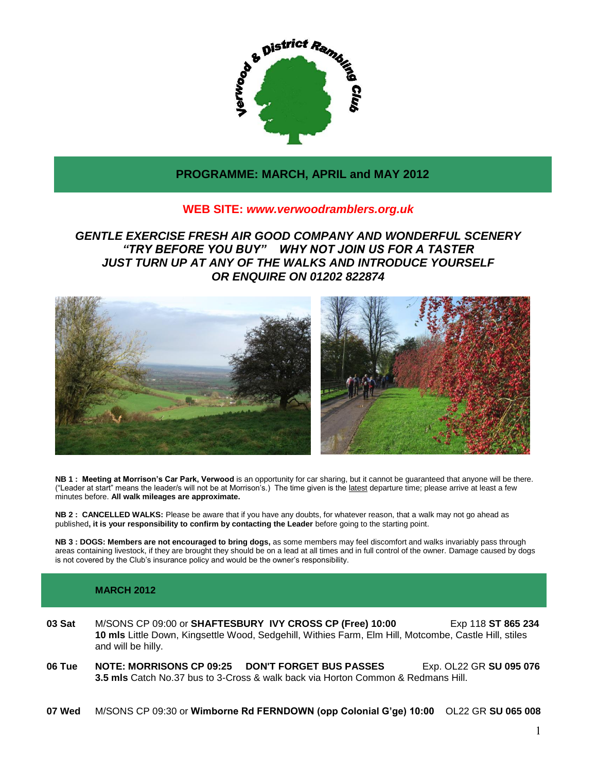

## **PROGRAMME: MARCH, APRIL and MAY 2012**

## **WEB SITE:** *[www.verwoodramblers.org.uk](http://www.verwoodramblers.org.uk/)*

# *GENTLE EXERCISE FRESH AIR GOOD COMPANY AND WONDERFUL SCENERY "TRY BEFORE YOU BUY" WHY NOT JOIN US FOR A TASTER JUST TURN UP AT ANY OF THE WALKS AND INTRODUCE YOURSELF OR ENQUIRE ON 01202 822874*



**NB 1 : Meeting at Morrison's Car Park, Verwood** is an opportunity for car sharing, but it cannot be guaranteed that anyone will be there. ("Leader at start" means the leader/s will not be at Morrison's.) The time given is the latest departure time; please arrive at least a few minutes before. **All walk mileages are approximate.**

**NB 2 : CANCELLED WALKS:** Please be aware that if you have any doubts, for whatever reason, that a walk may not go ahead as published**, it is your responsibility to confirm by contacting the Leader** before going to the starting point.

**NB 3 : DOGS: Members are not encouraged to bring dogs,** as some members may feel discomfort and walks invariably pass through areas containing livestock, if they are brought they should be on a lead at all times and in full control of the owner. Damage caused by dogs is not covered by the Club's insurance policy and would be the owner's responsibility.

## **MARCH 2012**

- **03 Sat** M/SONS CP 09:00 or **SHAFTESBURY IVY CROSS CP (Free) 10:00** Exp 118 **ST 865 234 10 mls** Little Down, Kingsettle Wood, Sedgehill, Withies Farm, Elm Hill, Motcombe, Castle Hill, stiles and will be hilly.
- **06 Tue NOTE: MORRISONS CP 09:25 DON'T FORGET BUS PASSES Exp. OL22 GR SU 095 076 3.5 mls** Catch No.37 bus to 3-Cross & walk back via Horton Common & Redmans Hill.
- **07 Wed** M/SONS CP 09:30 or **Wimborne Rd FERNDOWN (opp Colonial G'ge) 10:00** OL22 GR **SU 065 008**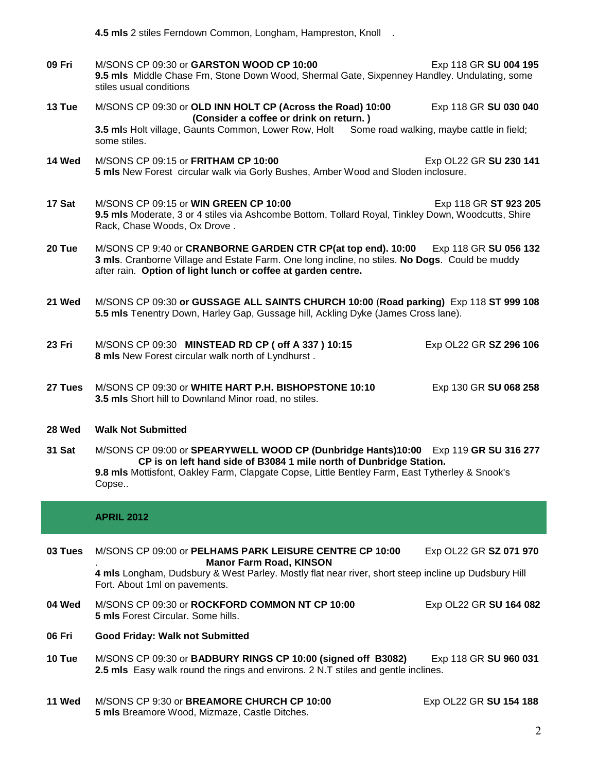- **09 Fri** M/SONS CP 09:30 or GARSTON WOOD CP 10:00 Exp 118 GR SU 004 195 **9.5 mls** Middle Chase Fm, Stone Down Wood, Shermal Gate, Sixpenney Handley. Undulating, some stiles usual conditions
- **13 Tue** M/SONS CP 09:30 or **OLD INN HOLT CP (Across the Road) 10:00** Exp 118 GR **SU 030 040 (Consider a coffee or drink on return. ) 3.5 mls Holt village, Gaunts Common, Lower Row, Holt**
- **14 Wed** M/SONS CP 09:15 or **FRITHAM CP 10:00** Exp OL22 GR **SU 230 141 5 mls** New Forest circular walk via Gorly Bushes, Amber Wood and Sloden inclosure.
- **17 Sat** M/SONS CP 09:15 or **WIN GREEN CP 10:00** Exp 118 GR **ST 923 205 9.5 mls** Moderate, 3 or 4 stiles via Ashcombe Bottom, Tollard Royal, Tinkley Down, Woodcutts, Shire Rack, Chase Woods, Ox Drove .
- **20 Tue** M/SONS CP 9:40 or **CRANBORNE GARDEN CTR CP(at top end). 10:00** Exp 118 GR **SU 056 132 3 mls**. Cranborne Village and Estate Farm. One long incline, no stiles. **No Dogs**. Could be muddy after rain. **Option of light lunch or coffee at garden centre.**
- **21 Wed** M/SONS CP 09:30 **or GUSSAGE ALL SAINTS CHURCH 10:00** (**Road parking)** Exp 118 **ST 999 108 5.5 mls** Tenentry Down, Harley Gap, Gussage hill, Ackling Dyke (James Cross lane).
- **23 Fri** M/SONS CP 09:30 **MINSTEAD RD CP ( off A 337 ) 10:15** Exp OL22 GR **SZ 296 106 8 mls** New Forest circular walk north of Lyndhurst .
- **27 Tues** M/SONS CP 09:30 or **WHITE HART P.H. BISHOPSTONE 10:10** Exp 130 GR **SU 068 258 3.5 mls** Short hill to Downland Minor road, no stiles.

#### **28 Wed Walk Not Submitted**

some stiles.

**31 Sat** M/SONS CP 09:00 or **SPEARYWELL WOOD CP (Dunbridge Hants)10:00** Exp 119 **GR SU 316 277 CP is on left hand side of B3084 1 mile north of Dunbridge Station. 9.8 mls** Mottisfont, Oakley Farm, Clapgate Copse, Little Bentley Farm, East Tytherley & Snook's Copse..

### **APRIL 2012**

- **03 Tues** M/SONS CP 09:00 or **PELHAMS PARK LEISURE CENTRE CP 10:00** Exp OL22 GR **SZ 071 970**  . **Manor Farm Road, KINSON 4 mls** Longham, Dudsbury & West Parley. Mostly flat near river, short steep incline up Dudsbury Hill Fort. About 1ml on pavements. **04 Wed** M/SONS CP 09:30 or **ROCKFORD COMMON NT CP 10:00** Exp OL22 GR **SU 164 082 5 mls** Forest Circular. Some hills. **06 Fri Good Friday: Walk not Submitted 10 Tue** M/SONS CP 09:30 or **BADBURY RINGS CP 10:00 (signed off B3082)** Exp 118 GR **SU 960 031**
- **2.5 mls** Easy walk round the rings and environs. 2 N.T stiles and gentle inclines.
- **11 Wed** M/SONS CP 9:30 or **BREAMORE CHURCH CP 10:00** Exp OL22 GR **SU 154 188 5 mls** Breamore Wood, Mizmaze, Castle Ditches.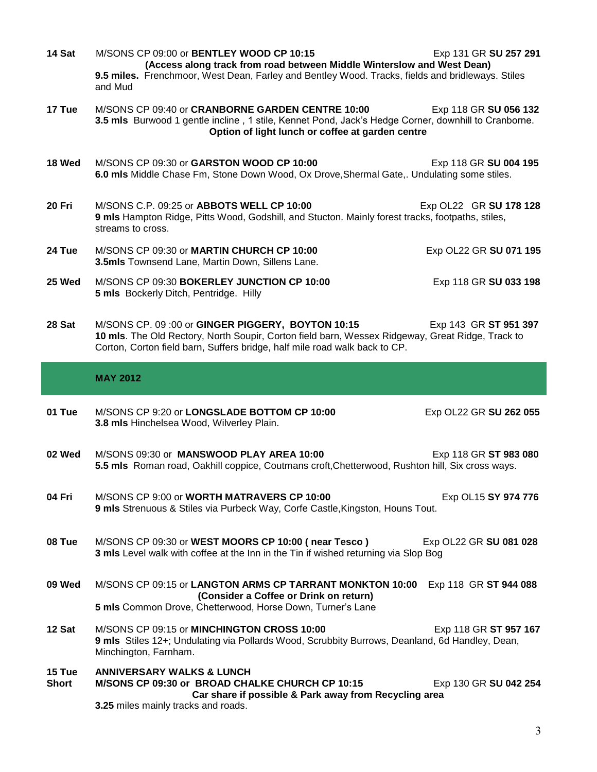| 14 Sat | M/SONS CP 09:00 or BENTLEY WOOD CP 10:15<br>(Access along track from road between Middle Winterslow and West Dean)<br>9.5 miles. Frenchmoor, West Dean, Farley and Bentley Wood. Tracks, fields and bridleways. Stiles<br>and Mud  | Exp 131 GR SU 257 291  |
|--------|------------------------------------------------------------------------------------------------------------------------------------------------------------------------------------------------------------------------------------|------------------------|
| 17 Tue | M/SONS CP 09:40 or CRANBORNE GARDEN CENTRE 10:00<br>3.5 mls Burwood 1 gentle incline, 1 stile, Kennet Pond, Jack's Hedge Corner, downhill to Cranborne.<br>Option of light lunch or coffee at garden centre                        | Exp 118 GR SU 056 132  |
| 18 Wed | M/SONS CP 09:30 or GARSTON WOOD CP 10:00<br>6.0 mls Middle Chase Fm, Stone Down Wood, Ox Drove, Shermal Gate,. Undulating some stiles.                                                                                             | Exp 118 GR SU 004 195  |
| 20 Fri | M/SONS C.P. 09:25 or ABBOTS WELL CP 10:00<br>9 mls Hampton Ridge, Pitts Wood, Godshill, and Stucton. Mainly forest tracks, footpaths, stiles,<br>streams to cross.                                                                 | Exp OL22 GR SU 178 128 |
| 24 Tue | M/SONS CP 09:30 or MARTIN CHURCH CP 10:00<br>3.5mls Townsend Lane, Martin Down, Sillens Lane.                                                                                                                                      | Exp OL22 GR SU 071 195 |
| 25 Wed | M/SONS CP 09:30 BOKERLEY JUNCTION CP 10:00<br>5 mls Bockerly Ditch, Pentridge. Hilly                                                                                                                                               | Exp 118 GR SU 033 198  |
| 28 Sat | M/SONS CP. 09:00 or GINGER PIGGERY, BOYTON 10:15<br>10 mls. The Old Rectory, North Soupir, Corton field barn, Wessex Ridgeway, Great Ridge, Track to<br>Corton, Corton field barn, Suffers bridge, half mile road walk back to CP. | Exp 143 GR ST 951 397  |
|        | <b>MAY 2012</b>                                                                                                                                                                                                                    |                        |
|        |                                                                                                                                                                                                                                    |                        |
| 01 Tue | M/SONS CP 9:20 or LONGSLADE BOTTOM CP 10:00<br>3.8 mls Hinchelsea Wood, Wilverley Plain.                                                                                                                                           | Exp OL22 GR SU 262 055 |
| 02 Wed | M/SONS 09:30 or MANSWOOD PLAY AREA 10:00<br>5.5 mls Roman road, Oakhill coppice, Coutmans croft, Chetterwood, Rushton hill, Six cross ways.                                                                                        | Exp 118 GR ST 983 080  |
| 04 Fri | M/SONS CP 9:00 or WORTH MATRAVERS CP 10:00<br>9 mls Strenuous & Stiles via Purbeck Way, Corfe Castle, Kingston, Houns Tout.                                                                                                        | Exp OL15 SY 974 776    |
| 08 Tue | M/SONS CP 09:30 or WEST MOORS CP 10:00 (near Tesco)<br>3 mls Level walk with coffee at the Inn in the Tin if wished returning via Slop Bog                                                                                         | Exp OL22 GR SU 081 028 |
| 09 Wed | M/SONS CP 09:15 or LANGTON ARMS CP TARRANT MONKTON 10:00 Exp 118 GR ST 944 088<br>(Consider a Coffee or Drink on return)<br>5 mls Common Drove, Chetterwood, Horse Down, Turner's Lane                                             |                        |
| 12 Sat | M/SONS CP 09:15 or MINCHINGTON CROSS 10:00<br>9 mls Stiles 12+; Undulating via Pollards Wood, Scrubbity Burrows, Deanland, 6d Handley, Dean,<br>Minchington, Farnham.                                                              | Exp 118 GR ST 957 167  |